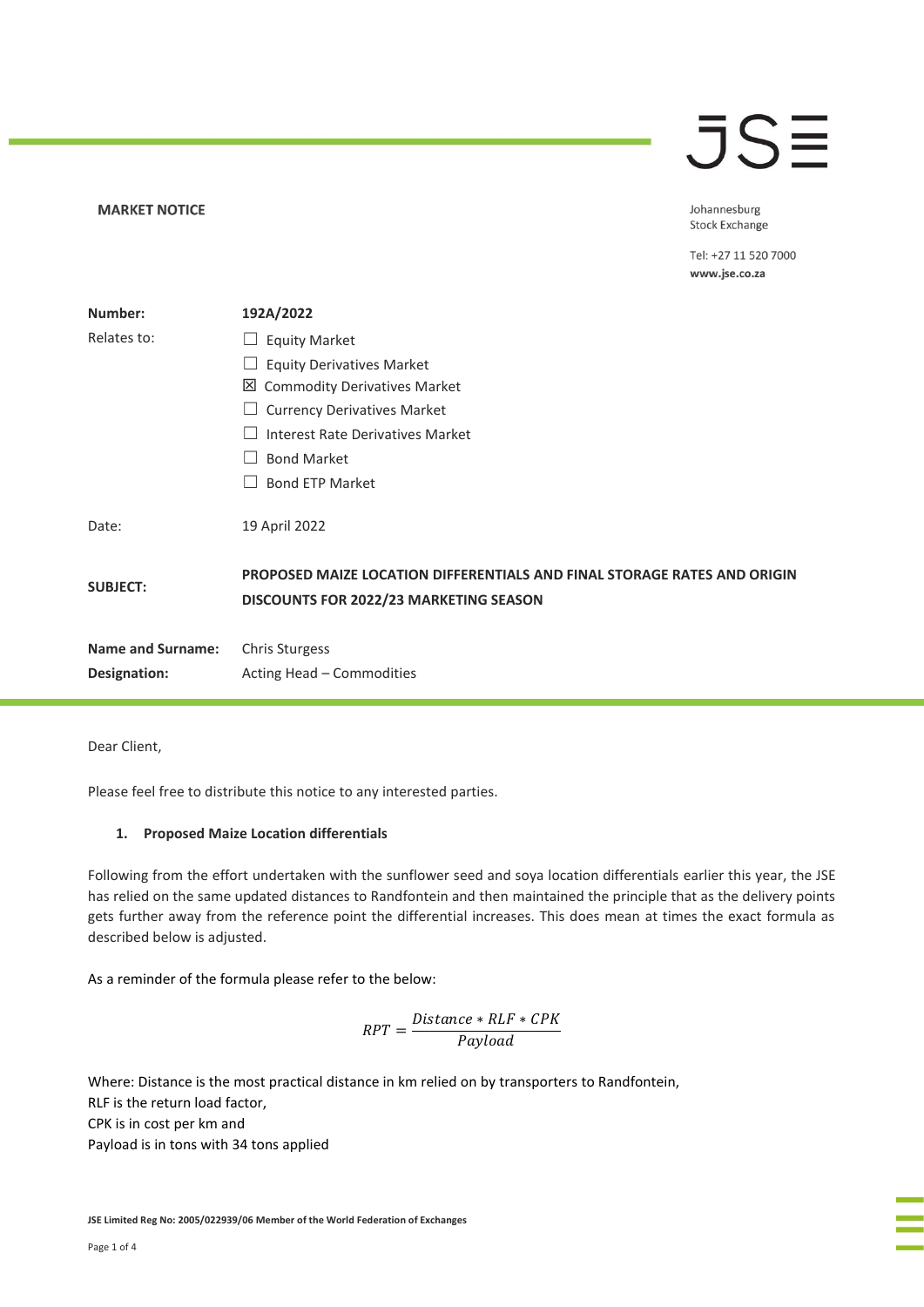## JSE

**MARKET NOTICE** 

Johannesburg **Stock Exchange** 

Tel: +27 11 520 7000 www.jse.co.za

| Number:                  | 192A/2022                                                                                                          |
|--------------------------|--------------------------------------------------------------------------------------------------------------------|
| Relates to:              | <b>Equity Market</b><br>ப                                                                                          |
|                          | <b>Equity Derivatives Market</b>                                                                                   |
|                          | ⊠<br><b>Commodity Derivatives Market</b>                                                                           |
|                          | <b>Currency Derivatives Market</b>                                                                                 |
|                          | Interest Rate Derivatives Market                                                                                   |
|                          | <b>Bond Market</b>                                                                                                 |
|                          | <b>Bond ETP Market</b>                                                                                             |
| Date:                    | 19 April 2022                                                                                                      |
| <b>SUBJECT:</b>          | PROPOSED MAIZE LOCATION DIFFERENTIALS AND FINAL STORAGE RATES AND ORIGIN<br>DISCOUNTS FOR 2022/23 MARKETING SEASON |
| <b>Name and Surname:</b> | <b>Chris Sturgess</b>                                                                                              |
| Designation:             | Acting Head - Commodities                                                                                          |

Dear Client,

Please feel free to distribute this notice to any interested parties.

### **1. Proposed Maize Location differentials**

Following from the effort undertaken with the sunflower seed and soya location differentials earlier this year, the JSE has relied on the same updated distances to Randfontein and then maintained the principle that as the delivery points gets further away from the reference point the differential increases. This does mean at times the exact formula as described below is adjusted.

As a reminder of the formula please refer to the below:

$$
RPT = \frac{Distance * RLF * CPK}{Payload}
$$

Where: Distance is the most practical distance in km relied on by transporters to Randfontein, RLF is the return load factor, CPK is in cost per km and Payload is in tons with 34 tons applied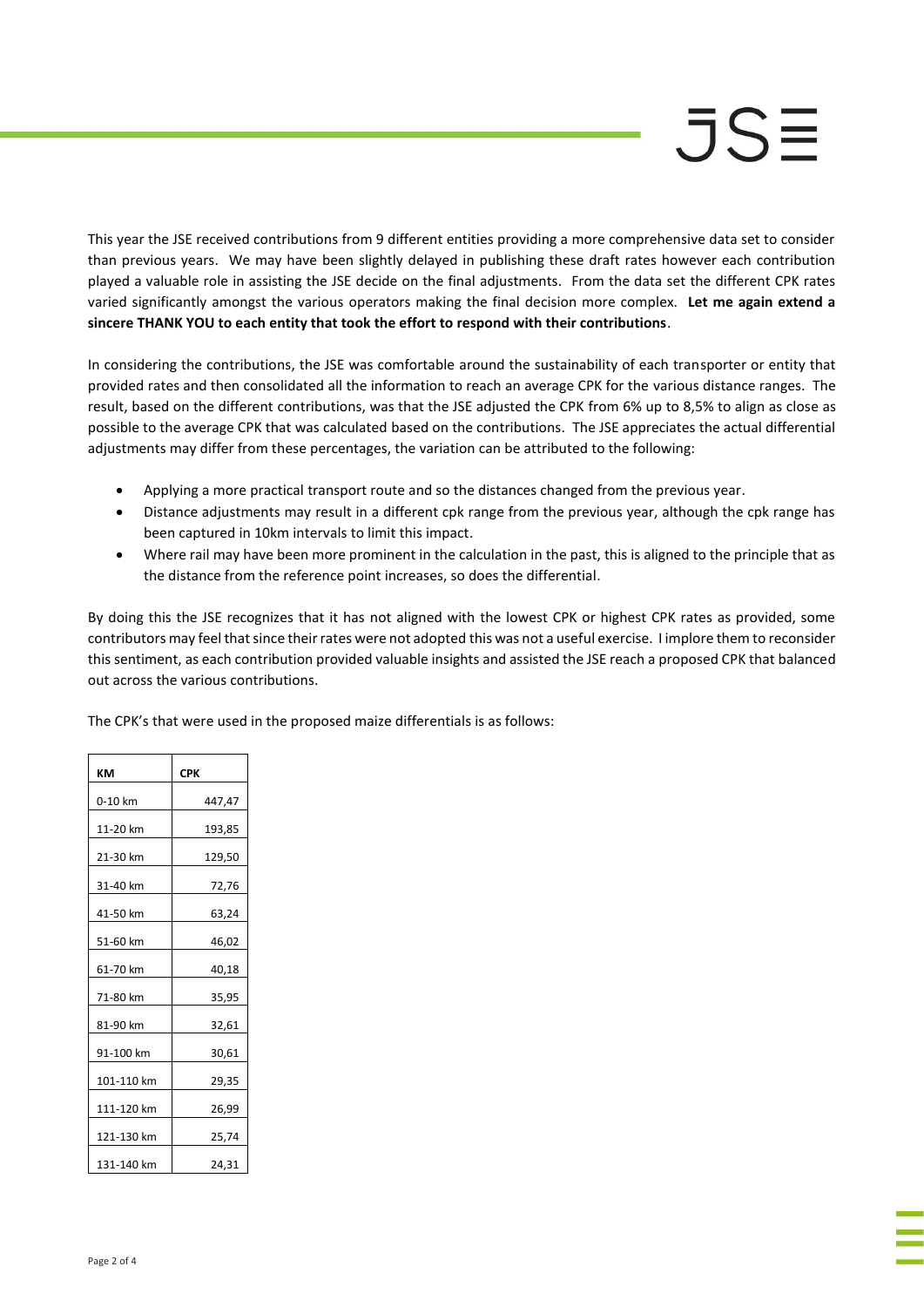This year the JSE received contributions from 9 different entities providing a more comprehensive data set to consider than previous years. We may have been slightly delayed in publishing these draft rates however each contribution played a valuable role in assisting the JSE decide on the final adjustments. From the data set the different CPK rates varied significantly amongst the various operators making the final decision more complex. **Let me again extend a sincere THANK YOU to each entity that took the effort to respond with their contributions**.

In considering the contributions, the JSE was comfortable around the sustainability of each transporter or entity that provided rates and then consolidated all the information to reach an average CPK for the various distance ranges. The result, based on the different contributions, was that the JSE adjusted the CPK from 6% up to 8,5% to align as close as possible to the average CPK that was calculated based on the contributions. The JSE appreciates the actual differential adjustments may differ from these percentages, the variation can be attributed to the following:

- Applying a more practical transport route and so the distances changed from the previous year.
- Distance adjustments may result in a different cpk range from the previous year, although the cpk range has been captured in 10km intervals to limit this impact.
- Where rail may have been more prominent in the calculation in the past, this is aligned to the principle that as the distance from the reference point increases, so does the differential.

By doing this the JSE recognizes that it has not aligned with the lowest CPK or highest CPK rates as provided, some contributors may feel that since their rates were not adopted this was not a useful exercise. I implore them to reconsider this sentiment, as each contribution provided valuable insights and assisted the JSE reach a proposed CPK that balanced out across the various contributions.

The CPK's that were used in the proposed maize differentials is as follows:

| KM         | <b>CPK</b> |
|------------|------------|
| 0-10 km    | 447,47     |
| 11-20 km   | 193,85     |
| 21-30 km   | 129,50     |
| 31-40 km   | 72,76      |
| 41-50 km   | 63,24      |
| 51-60 km   | 46,02      |
| 61-70 km   | 40,18      |
| 71-80 km   | 35,95      |
| 81-90 km   | 32,61      |
| 91-100 km  | 30,61      |
| 101-110 km | 29,35      |
| 111-120 km | 26,99      |
| 121-130 km | 25,74      |
| 131-140 km | 24,31      |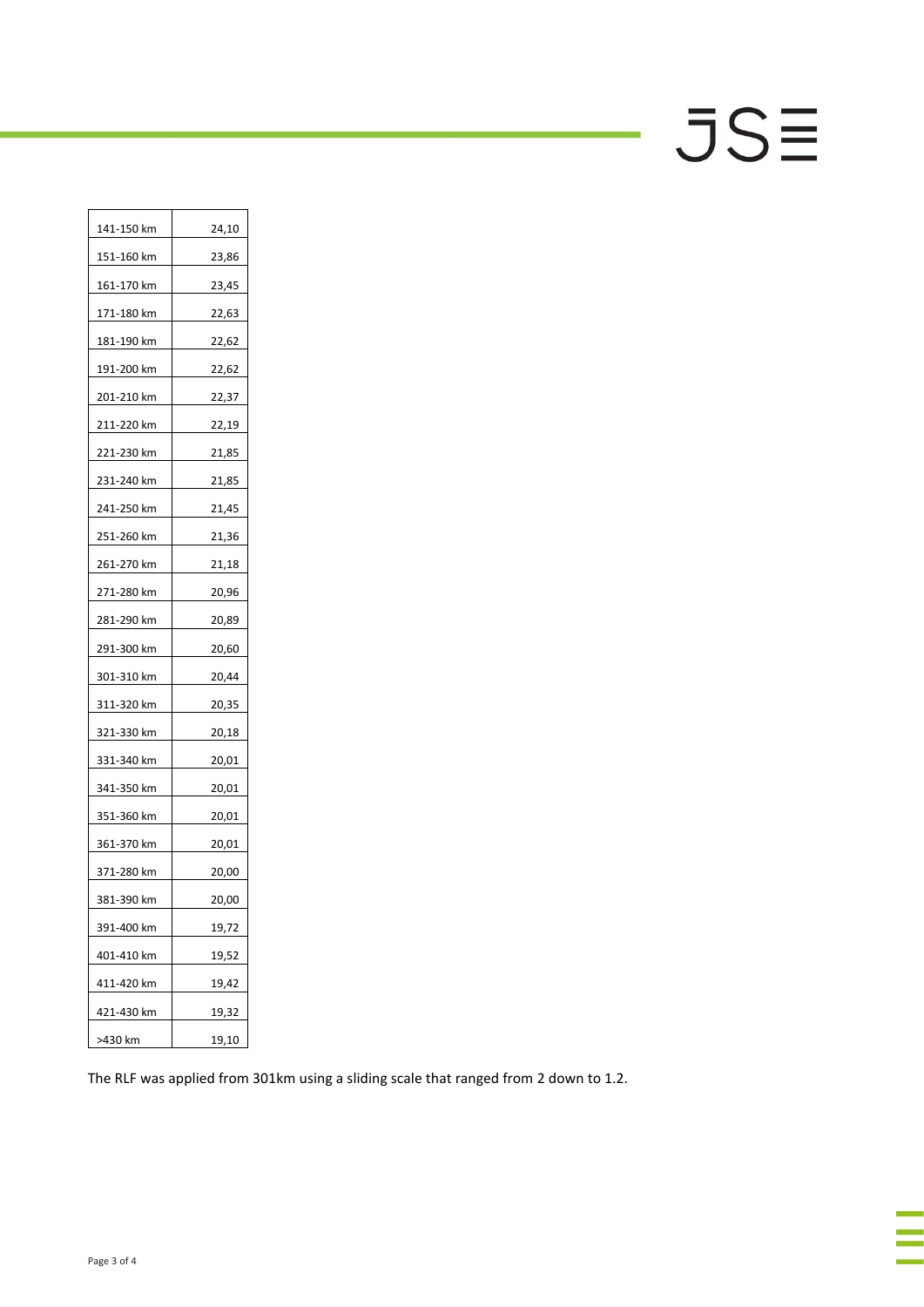# $JS\equiv$

| 141-150 km | 24,10 |
|------------|-------|
| 151-160 km | 23,86 |
| 161-170 km | 23,45 |
| 171-180 km | 22,63 |
| 181-190 km | 22,62 |
| 191-200 km | 22,62 |
| 201-210 km | 22,37 |
| 211-220 km | 22,19 |
| 221-230 km | 21,85 |
| 231-240 km | 21,85 |
| 241-250 km | 21,45 |
| 251-260 km | 21,36 |
| 261-270 km | 21,18 |
| 271-280 km | 20,96 |
| 281-290 km | 20,89 |
| 291-300 km | 20,60 |
| 301-310 km | 20,44 |
| 311-320 km | 20,35 |
| 321-330 km | 20,18 |
| 331-340 km | 20,01 |
| 341-350 km | 20,01 |
| 351-360 km | 20,01 |
| 361-370 km | 20,01 |
| 371-280 km | 20,00 |
| 381-390 km | 20,00 |
| 391-400 km | 19,72 |
| 401-410 km | 19,52 |
| 411-420 km | 19,42 |
| 421-430 km | 19,32 |
| >430 km    | 19,10 |

The RLF was applied from 301km using a sliding scale that ranged from 2 down to 1.2.